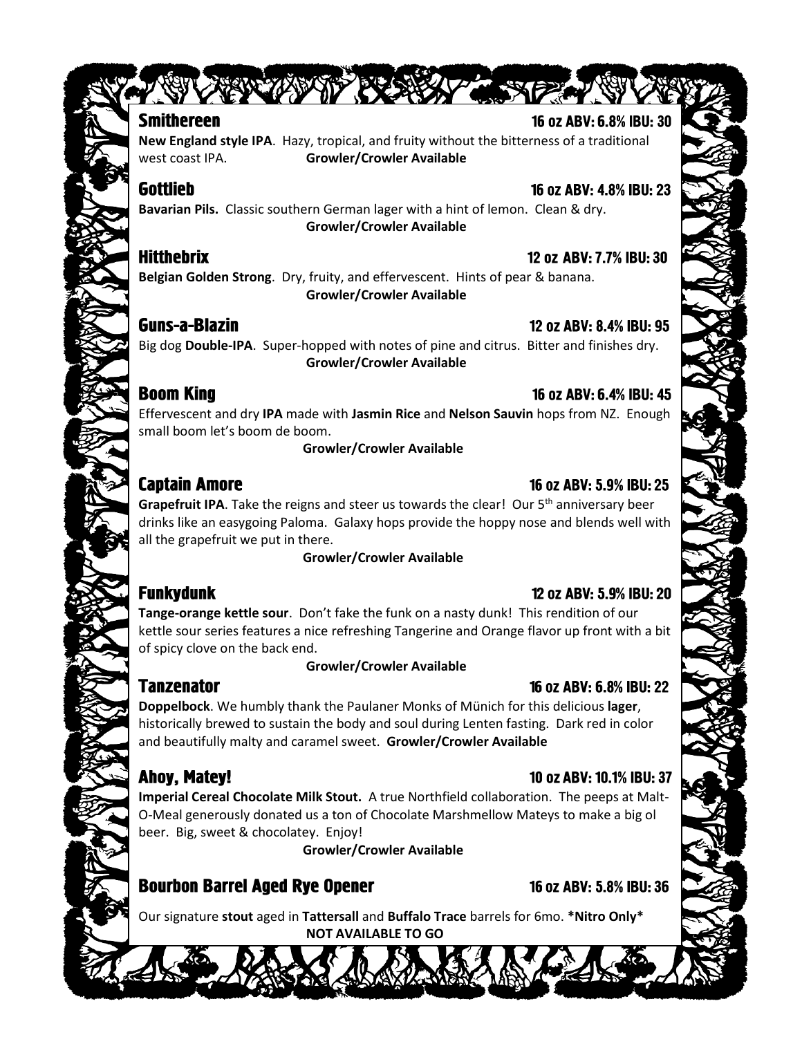### **Smithereen**

STAR THE TANK OF

**New England style IPA**. Hazy, tropical, and fruity without the bitterness of a traditional west coast IPA. **Growler/Crowler Available**

## **Gottlieb**

**Bavarian Pils.** Classic southern German lager with a hint of lemon. Clean & dry. **Growler/Crowler Available**

### **Hitthebrix**

12 oz ABV: 7.7% IBU: 30

**Belgian Golden Strong**. Dry, fruity, and effervescent. Hints of pear & banana. **Growler/Crowler Available**

### **Guns-a-Blazin**

### 12 oz ABV: 8.4% IBU: 95

Big dog **Double-IPA**. Super-hopped with notes of pine and citrus. Bitter and finishes dry. **Growler/Crowler Available**

## **Boom King**

#### 16 oz ABV: 6.4% IBU: 45

Effervescent and dry **IPA** made with **Jasmin Rice** and **Nelson Sauvin** hops from NZ. Enough small boom let's boom de boom.

**Growler/Crowler Available**

## **Captain Amore**

### 16 oz ABV: 5.9% IBU: 25

Grapefruit IPA. Take the reigns and steer us towards the clear! Our 5<sup>th</sup> anniversary beer drinks like an easygoing Paloma. Galaxy hops provide the hoppy nose and blends well with all the grapefruit we put in there.

**Growler/Crowler Available**

# **Funkydunk**

#### 12 oz ABV: 5.9% IBU: 20

**Tange-orange kettle sour**. Don't fake the funk on a nasty dunk! This rendition of our kettle sour series features a nice refreshing Tangerine and Orange flavor up front with a bit of spicy clove on the back end.

#### **Growler/Crowler Available**

## **Tanzenator**

## 16 oz ABV: 6.8% IBU: 22

**Doppelbock**. We humbly thank the Paulaner Monks of Münich for this delicious **lager**, historically brewed to sustain the body and soul during Lenten fasting. Dark red in color and beautifully malty and caramel sweet. **Growler/Crowler Available**

# Ahoy, Matey!

## 10 oz ABV: 10.1% IBU: 37

**Imperial Cereal Chocolate Milk Stout.** A true Northfield collaboration. The peeps at Malt-O-Meal generously donated us a ton of Chocolate Marshmellow Mateys to make a big ol beer. Big, sweet & chocolatey. Enjoy!

 **Growler/Crowler Available**

# **Bourbon Barrel Aged Rye Opener**

16 oz ABV: 5.8% IBU: 36

Our signature **stout** aged in **Tattersall** and **Buffalo Trace** barrels for 6mo. **\*Nitro Only\* NOT AVAILABLE TO GO**